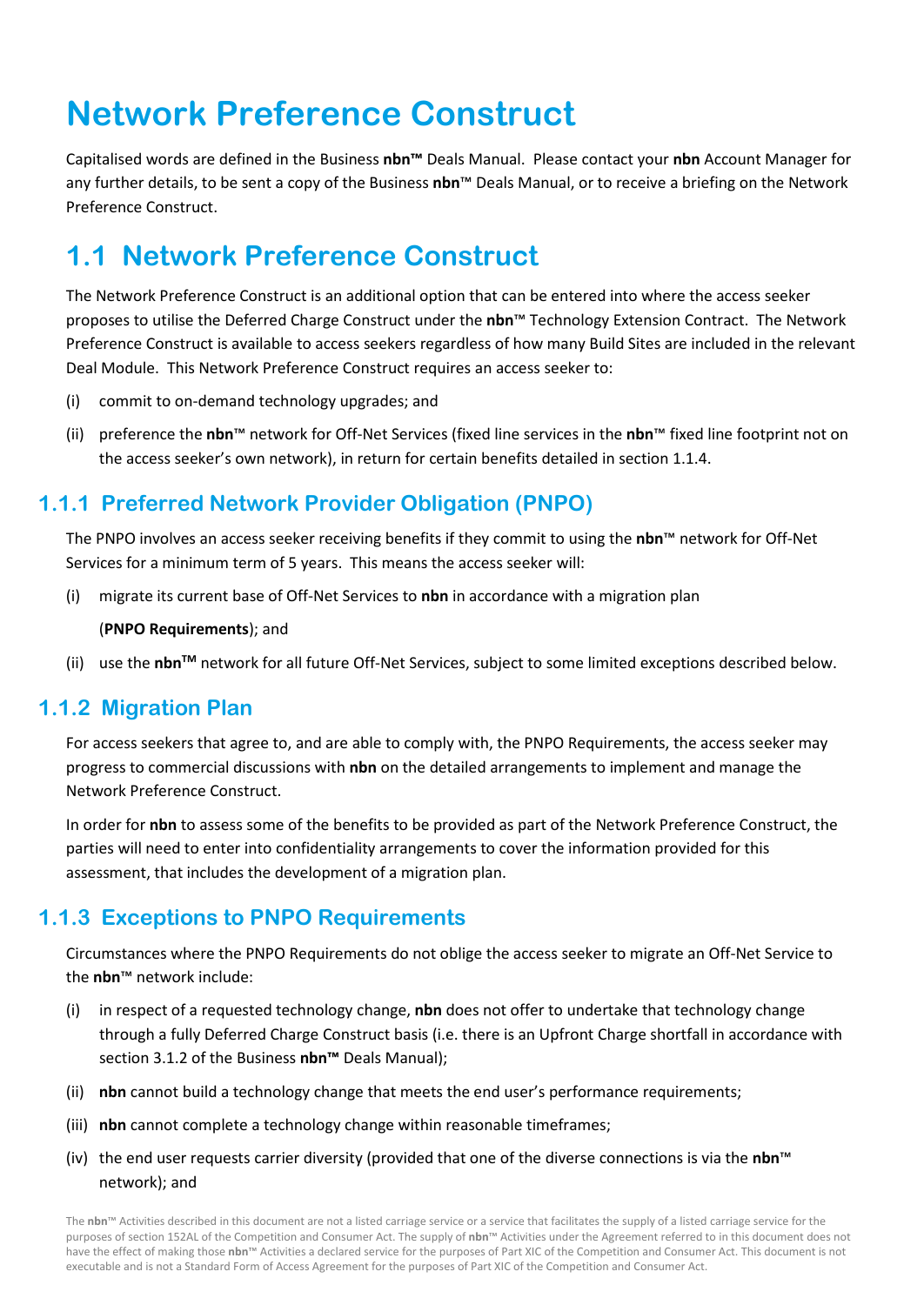# **Network Preference Construct**

Capitalised words are defined in the Business **nbn™** Deals Manual. Please contact your **nbn** Account Manager for any further details, to be sent a copy of the Business **nbn**™ Deals Manual, or to receive a briefing on the Network Preference Construct.

## **1.1 Network Preference Construct**

The Network Preference Construct is an additional option that can be entered into where the access seeker proposes to utilise the Deferred Charge Construct under the **nbn**™ Technology Extension Contract. The Network Preference Construct is available to access seekers regardless of how many Build Sites are included in the relevant Deal Module. This Network Preference Construct requires an access seeker to:

- (i) commit to on-demand technology upgrades; and
- (ii) preference the **nbn**™ network for Off-Net Services (fixed line services in the **nbn**™ fixed line footprint not on the access seeker's own network), in return for certain benefits detailed in sectio[n 1.1.4.](#page-1-0)

### **1.1.1 Preferred Network Provider Obligation (PNPO)**

The PNPO involves an access seeker receiving benefits if they commit to using the **nbn**™ network for Off-Net Services for a minimum term of 5 years. This means the access seeker will:

(i) migrate its current base of Off-Net Services to **nbn** in accordance with a migration plan

(**PNPO Requirements**); and

(ii) use the **nbnTM** network for all future Off-Net Services, subject to some limited exceptions described below.

#### **1.1.2 Migration Plan**

For access seekers that agree to, and are able to comply with, the PNPO Requirements, the access seeker may progress to commercial discussions with **nbn** on the detailed arrangements to implement and manage the Network Preference Construct.

In order for **nbn** to assess some of the benefits to be provided as part of the Network Preference Construct, the parties will need to enter into confidentiality arrangements to cover the information provided for this assessment, that includes the development of a migration plan.

#### **1.1.3 Exceptions to PNPO Requirements**

Circumstances where the PNPO Requirements do not oblige the access seeker to migrate an Off-Net Service to the **nbn**™ network include:

- (i) in respect of a requested technology change, **nbn** does not offer to undertake that technology change through a fully Deferred Charge Construct basis (i.e. there is an Upfront Charge shortfall in accordance with section 3.1.2 of the Business **nbn™** Deals Manual);
- (ii) **nbn** cannot build a technology change that meets the end user's performance requirements;
- (iii) **nbn** cannot complete a technology change within reasonable timeframes;
- (iv) the end user requests carrier diversity (provided that one of the diverse connections is via the **nbn**™ network); and

The **nbn**™ Activities described in this document are not a listed carriage service or a service that facilitates the supply of a listed carriage service for the purposes of section 152AL of the Competition and Consumer Act. The supply of **nbn**™ Activities under the Agreement referred to in this document does not have the effect of making those **nbn**™ Activities a declared service for the purposes of Part XIC of the Competition and Consumer Act. This document is not executable and is not a Standard Form of Access Agreement for the purposes of Part XIC of the Competition and Consumer Act.